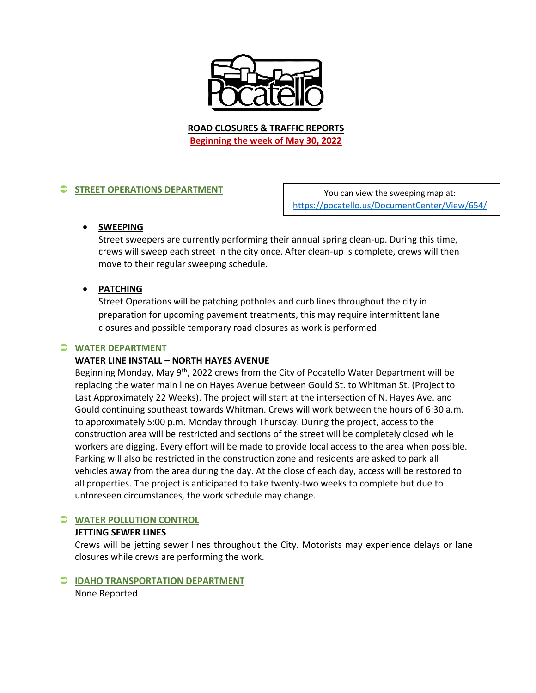

**ROAD CLOSURES & TRAFFIC REPORTS Beginning the week of May 30, 2022**

# **STREET OPERATIONS DEPARTMENT**

You can view the sweeping map at: <https://pocatello.us/DocumentCenter/View/654/>

### **SWEEPING**

Street sweepers are currently performing their annual spring clean-up. During this time, crews will sweep each street in the city once. After clean-up is complete, crews will then move to their regular sweeping schedule.

### **PATCHING**

Street Operations will be patching potholes and curb lines throughout the city in preparation for upcoming pavement treatments, this may require intermittent lane closures and possible temporary road closures as work is performed.

### **WATER DEPARTMENT**

### **WATER LINE INSTALL – NORTH HAYES AVENUE**

Beginning Monday, May 9<sup>th</sup>, 2022 crews from the City of Pocatello Water Department will be replacing the water main line on Hayes Avenue between Gould St. to Whitman St. (Project to Last Approximately 22 Weeks). The project will start at the intersection of N. Hayes Ave. and Gould continuing southeast towards Whitman. Crews will work between the hours of 6:30 a.m. to approximately 5:00 p.m. Monday through Thursday. During the project, access to the construction area will be restricted and sections of the street will be completely closed while workers are digging. Every effort will be made to provide local access to the area when possible. Parking will also be restricted in the construction zone and residents are asked to park all vehicles away from the area during the day. At the close of each day, access will be restored to all properties. The project is anticipated to take twenty-two weeks to complete but due to unforeseen circumstances, the work schedule may change.

### **WATER POLLUTION CONTROL**

### **JETTING SEWER LINES**

Crews will be jetting sewer lines throughout the City. Motorists may experience delays or lane closures while crews are performing the work.

# **IDAHO TRANSPORTATION DEPARTMENT**

None Reported